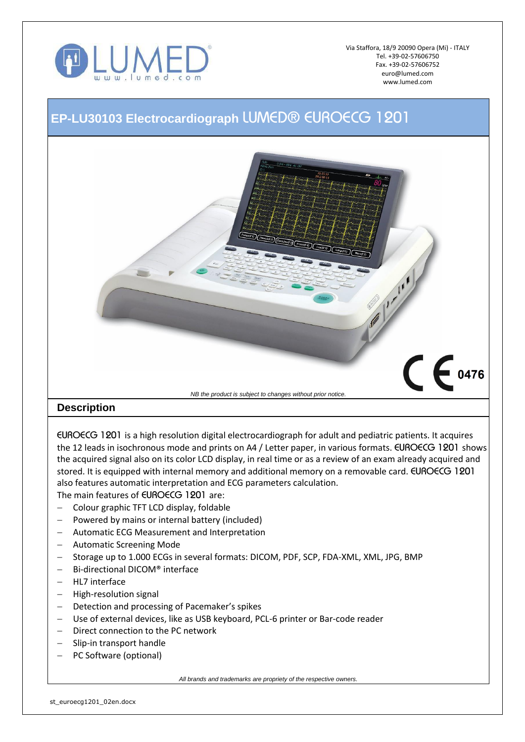

Via Staffora, 18/9 20090 Opera (Mi) - ITALY Tel. +39-02-57606750 Fax. +39-02-57606752 euro@lumed.com www.lumed.com

## **EP-LU30103 Electrocardiograph** *LUMED® EUROECG 1201*



*EUROECG 1201* is a high resolution digital electrocardiograph for adult and pediatric patients. It acquires the 12 leads in isochronous mode and prints on A4 / Letter paper, in various formats. *EUROECG 1201* shows the acquired signal also on its color LCD display, in real time or as a review of an exam already acquired and stored. It is equipped with internal memory and additional memory on a removable card. *EUROECG 1201*  also features automatic interpretation and ECG parameters calculation. The main features of *EUROECG 1201* are:

- Colour graphic TFT LCD display, foldable
- $-$  Powered by mains or internal battery (included)
- Automatic ECG Measurement and Interpretation
- Automatic Screening Mode
- Storage up to 1.000 ECGs in several formats: DICOM, PDF, SCP, FDA-XML, XML, JPG, BMP
- Bi-directional DICOM® interface
- HL7 interface
- High-resolution signal
- Detection and processing of Pacemaker's spikes
- Use of external devices, like as USB keyboard, PCL-6 printer or Bar-code reader
- Direct connection to the PC network
- Slip-in transport handle
- PC Software (optional)

*All brands and trademarks are propriety of the respective owners.*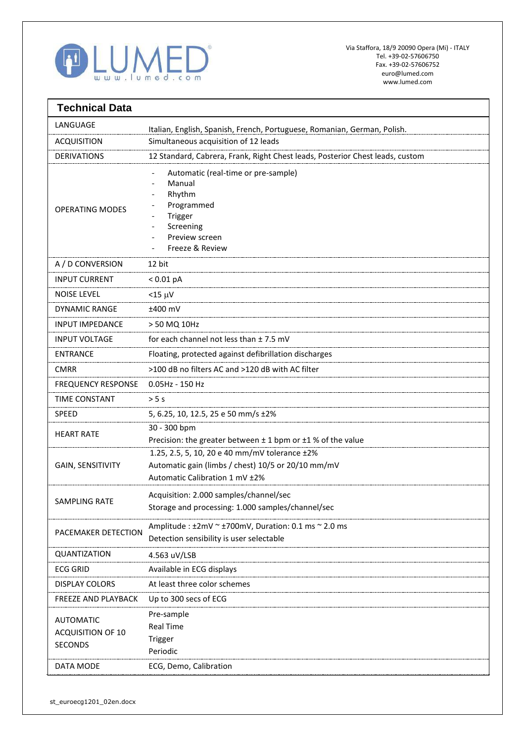

| <b>Technical Data</b>                                   |                                                                                                                                       |
|---------------------------------------------------------|---------------------------------------------------------------------------------------------------------------------------------------|
| LANGUAGE                                                | Italian, English, Spanish, French, Portuguese, Romanian, German, Polish.                                                              |
| <b>ACQUISITION</b>                                      | Simultaneous acquisition of 12 leads                                                                                                  |
| <b>DERIVATIONS</b>                                      | 12 Standard, Cabrera, Frank, Right Chest leads, Posterior Chest leads, custom                                                         |
| <b>OPERATING MODES</b>                                  | Automatic (real-time or pre-sample)<br>Manual<br>Rhythm<br>Programmed<br>Trigger<br>Screening<br>Preview screen<br>Freeze & Review    |
| A / D CONVERSION                                        | 12 bit                                                                                                                                |
| <b>INPUT CURRENT</b>                                    | < 0.01 pA                                                                                                                             |
| <b>NOISE LEVEL</b>                                      | $<$ 15 $\mu$ V                                                                                                                        |
| <b>DYNAMIC RANGE</b>                                    | ±400 mV                                                                                                                               |
| INPUT IMPEDANCE                                         | > 50 MQ 10Hz                                                                                                                          |
| <b>INPUT VOLTAGE</b>                                    | for each channel not less than $± 7.5$ mV                                                                                             |
| <b>ENTRANCE</b>                                         | Floating, protected against defibrillation discharges                                                                                 |
| <b>CMRR</b>                                             | >100 dB no filters AC and >120 dB with AC filter                                                                                      |
| <b>FREQUENCY RESPONSE</b>                               | 0.05Hz - 150 Hz                                                                                                                       |
| <b>TIME CONSTANT</b>                                    | $>$ 5 s                                                                                                                               |
| SPEED                                                   | 5, 6.25, 10, 12.5, 25 e 50 mm/s ±2%                                                                                                   |
| <b>HEART RATE</b>                                       | 30 - 300 bpm<br>Precision: the greater between $\pm$ 1 bpm or $\pm$ 1 % of the value                                                  |
| <b>GAIN, SENSITIVITY</b>                                | 1.25, 2.5, 5, 10, 20 e 40 mm/mV tolerance ±2%<br>Automatic gain (limbs / chest) 10/5 or 20/10 mm/mV<br>Automatic Calibration 1 mV ±2% |
| <b>SAMPLING RATE</b>                                    | Acquisition: 2.000 samples/channel/sec<br>Storage and processing: 1.000 samples/channel/sec                                           |
| PACEMAKER DETECTION                                     | Amplitude : $\pm 2$ mV ~ $\pm 700$ mV, Duration: 0.1 ms ~ 2.0 ms<br>Detection sensibility is user selectable                          |
| QUANTIZATION                                            | 4.563 uV/LSB                                                                                                                          |
| <b>ECG GRID</b>                                         | Available in ECG displays                                                                                                             |
| <b>DISPLAY COLORS</b>                                   | At least three color schemes                                                                                                          |
| FREEZE AND PLAYBACK                                     | Up to 300 secs of ECG                                                                                                                 |
| <b>AUTOMATIC</b><br>ACQUISITION OF 10<br><b>SECONDS</b> | Pre-sample<br><b>Real Time</b><br>Trigger<br>Periodic                                                                                 |
| DATA MODE                                               | ECG, Demo, Calibration                                                                                                                |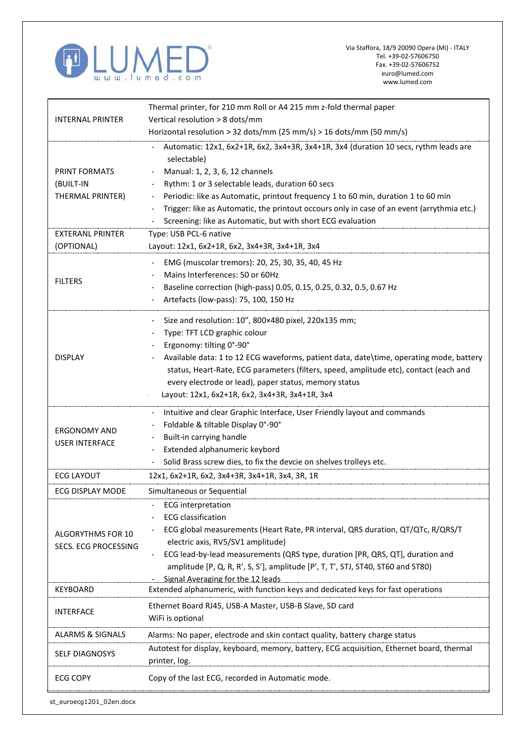

'n

| <b>INTERNAL PRINTER</b>                   | Thermal printer, for 210 mm Roll or A4 215 mm z-fold thermal paper                                                    |
|-------------------------------------------|-----------------------------------------------------------------------------------------------------------------------|
|                                           | Vertical resolution > 8 dots/mm                                                                                       |
|                                           | Horizontal resolution > 32 dots/mm (25 mm/s) > 16 dots/mm (50 mm/s)                                                   |
|                                           | Automatic: 12x1, 6x2+1R, 6x2, 3x4+3R, 3x4+1R, 3x4 (duration 10 secs, rythm leads are<br>selectable)                   |
| PRINT FORMATS                             | Manual: 1, 2, 3, 6, 12 channels                                                                                       |
| (BUILT-IN                                 | Rythm: 1 or 3 selectable leads, duration 60 secs                                                                      |
| THERMAL PRINTER)                          | Periodic: like as Automatic, printout frequency 1 to 60 min, duration 1 to 60 min                                     |
|                                           | Trigger: like as Automatic, the printout occours only in case of an event (arrythmia etc.)                            |
|                                           | Screening: like as Automatic, but with short ECG evaluation                                                           |
| <b>EXTERANL PRINTER</b>                   | Type: USB PCL-6 native                                                                                                |
| (OPTIONAL)                                | Layout: 12x1, 6x2+1R, 6x2, 3x4+3R, 3x4+1R, 3x4                                                                        |
|                                           | EMG (muscolar tremors): 20, 25, 30, 35, 40, 45 Hz                                                                     |
| <b>FILTERS</b>                            | Mains Interferences: 50 or 60Hz                                                                                       |
|                                           | Baseline correction (high-pass) 0.05, 0.15, 0.25, 0.32, 0.5, 0.67 Hz                                                  |
|                                           | Artefacts (low-pass): 75, 100, 150 Hz                                                                                 |
|                                           | Size and resolution: 10", 800×480 pixel, 220x135 mm;                                                                  |
|                                           | Type: TFT LCD graphic colour                                                                                          |
|                                           | Ergonomy: tilting 0°-90°                                                                                              |
| <b>DISPLAY</b>                            | Available data: 1 to 12 ECG waveforms, patient data, date\time, operating mode, battery                               |
|                                           | status, Heart-Rate, ECG parameters (filters, speed, amplitude etc), contact (each and                                 |
|                                           | every electrode or lead), paper status, memory status                                                                 |
|                                           | Layout: 12x1, 6x2+1R, 6x2, 3x4+3R, 3x4+1R, 3x4                                                                        |
|                                           |                                                                                                                       |
|                                           | Intuitive and clear Graphic Interface, User Friendly layout and commands                                              |
| <b>ERGONOMY AND</b>                       | Foldable & tiltable Display 0°-90°                                                                                    |
| <b>USER INTERFACE</b>                     | Built-in carrying handle                                                                                              |
|                                           | Extended alphanumeric keybord                                                                                         |
|                                           | Solid Brass screw dies, to fix the devcie on shelves trolleys etc.                                                    |
| <b>ECG LAYOUT</b>                         | 12x1, 6x2+1R, 6x2, 3x4+3R, 3x4+1R, 3x4, 3R, 1R                                                                        |
| ECG DISPLAY MODE                          | Simultaneous or Sequential                                                                                            |
|                                           | <b>ECG</b> interpretation                                                                                             |
| ALGORYTHMS FOR 10<br>SECS. ECG PROCESSING | <b>ECG</b> classification                                                                                             |
|                                           | ECG global measurements (Heart Rate, PR interval, QRS duration, QT/QTc, R/QRS/T                                       |
|                                           | electric axis, RV5/SV1 amplitude)                                                                                     |
|                                           | ECG lead-by-lead measurements (QRS type, duration [PR, QRS, QT], duration and                                         |
|                                           | amplitude [P, Q, R, R', S, S'], amplitude [P', T, T', STJ, ST40, ST60 and ST80)                                       |
| <b>KEYBOARD</b>                           | Signal Averaging for the 12 leads<br>Extended alphanumeric, with function keys and dedicated keys for fast operations |
|                                           |                                                                                                                       |
| <b>INTERFACE</b>                          | Ethernet Board RJ45, USB-A Master, USB-B Slave, SD card                                                               |
|                                           | WiFi is optional                                                                                                      |
| <b>ALARMS &amp; SIGNALS</b>               | Alarms: No paper, electrode and skin contact quality, battery charge status                                           |
| <b>SELF DIAGNOSYS</b>                     | Autotest for display, keyboard, memory, battery, ECG acquisition, Ethernet board, thermal<br>printer, log.            |
|                                           |                                                                                                                       |
| <b>ECG COPY</b>                           | Copy of the last ECG, recorded in Automatic mode.                                                                     |